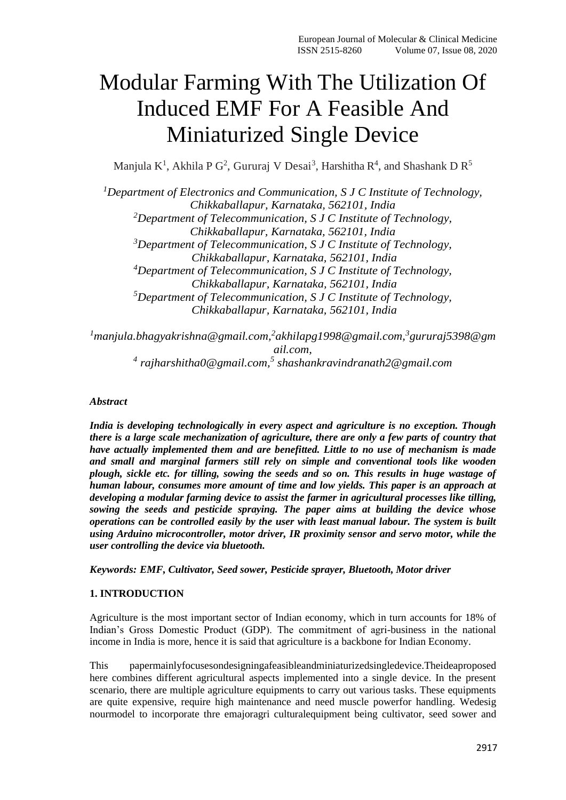# Modular Farming With The Utilization Of Induced EMF For A Feasible And Miniaturized Single Device

Manjula K<sup>1</sup>, Akhila P G<sup>2</sup>, Gururaj V Desai<sup>3</sup>, Harshitha R<sup>4</sup>, and Shashank D R<sup>5</sup>

*<sup>1</sup>Department of Electronics and Communication, S J C Institute of Technology, Chikkaballapur, Karnataka, 562101, India <sup>2</sup>Department of Telecommunication, S J C Institute of Technology, Chikkaballapur, Karnataka, 562101, India <sup>3</sup>Department of Telecommunication, S J C Institute of Technology, Chikkaballapur, Karnataka, 562101, India <sup>4</sup>Department of Telecommunication, S J C Institute of Technology, Chikkaballapur, Karnataka, 562101, India <sup>5</sup>Department of Telecommunication, S J C Institute of Technology, Chikkaballapur, Karnataka, 562101, India*

*<sup>1</sup>manjula.bhagyakrishna@gmail.com,<sup>2</sup> akhilapg1998@gmail.com,<sup>3</sup> gururaj5398@gm ail.com, 4 rajharshitha0@gmail.com,<sup>5</sup> shashankravindranath2@gmail.com*

# *Abstract*

*India is developing technologically in every aspect and agriculture is no exception. Though there is a large scale mechanization of agriculture, there are only a few parts of country that have actually implemented them and are benefitted. Little to no use of mechanism is made and small and marginal farmers still rely on simple and conventional tools like wooden plough, sickle etc. for tilling, sowing the seeds and so on. This results in huge wastage of human labour, consumes more amount of time and low yields. This paper is an approach at developing a modular farming device to assist the farmer in agricultural processes like tilling, sowing the seeds and pesticide spraying. The paper aims at building the device whose operations can be controlled easily by the user with least manual labour. The system is built using Arduino microcontroller, motor driver, IR proximity sensor and servo motor, while the user controlling the device via bluetooth.*

*Keywords: EMF, Cultivator, Seed sower, Pesticide sprayer, Bluetooth, Motor driver*

# **1. INTRODUCTION**

Agriculture is the most important sector of Indian economy, which in turn accounts for 18% of Indian's Gross Domestic Product (GDP). The commitment of agri-business in the national income in India is more, hence it is said that agriculture is a backbone for Indian Economy.

This papermainlyfocusesondesigningafeasibleandminiaturizedsingledevice.Theideaproposed here combines different agricultural aspects implemented into a single device. In the present scenario, there are multiple agriculture equipments to carry out various tasks. These equipments are quite expensive, require high maintenance and need muscle powerfor handling. Wedesig nourmodel to incorporate thre emajoragri culturalequipment being cultivator, seed sower and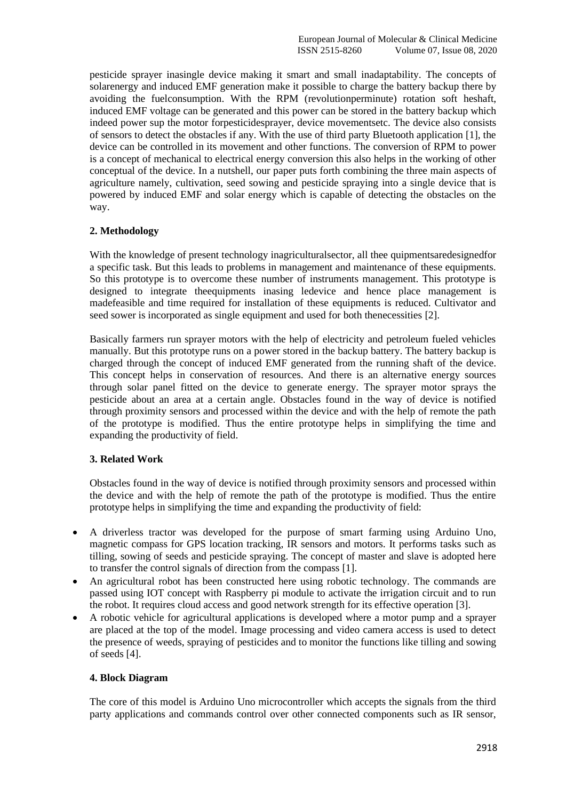pesticide sprayer inasingle device making it smart and small inadaptability. The concepts of solarenergy and induced EMF generation make it possible to charge the battery backup there by avoiding the fuelconsumption. With the RPM (revolutionperminute) rotation soft heshaft, induced EMF voltage can be generated and this power can be stored in the battery backup which indeed power sup the motor forpesticidesprayer, device movementsetc. The device also consists of sensors to detect the obstacles if any. With the use of third party Bluetooth application [1], the device can be controlled in its movement and other functions. The conversion of RPM to power is a concept of mechanical to electrical energy conversion this also helps in the working of other conceptual of the device. In a nutshell, our paper puts forth combining the three main aspects of agriculture namely, cultivation, seed sowing and pesticide spraying into a single device that is powered by induced EMF and solar energy which is capable of detecting the obstacles on the way.

# **2. Methodology**

With the knowledge of present technology inagriculturalsector, all thee quipmentsaredesignedfor a specific task. But this leads to problems in management and maintenance of these equipments. So this prototype is to overcome these number of instruments management. This prototype is designed to integrate theequipments inasing ledevice and hence place management is madefeasible and time required for installation of these equipments is reduced. Cultivator and seed sower is incorporated as single equipment and used for both thenecessities [2].

Basically farmers run sprayer motors with the help of electricity and petroleum fueled vehicles manually. But this prototype runs on a power stored in the backup battery. The battery backup is charged through the concept of induced EMF generated from the running shaft of the device. This concept helps in conservation of resources. And there is an alternative energy sources through solar panel fitted on the device to generate energy. The sprayer motor sprays the pesticide about an area at a certain angle. Obstacles found in the way of device is notified through proximity sensors and processed within the device and with the help of remote the path of the prototype is modified. Thus the entire prototype helps in simplifying the time and expanding the productivity of field.

# **3. Related Work**

Obstacles found in the way of device is notified through proximity sensors and processed within the device and with the help of remote the path of the prototype is modified. Thus the entire prototype helps in simplifying the time and expanding the productivity of field:

- A driverless tractor was developed for the purpose of smart farming using Arduino Uno, magnetic compass for GPS location tracking, IR sensors and motors. It performs tasks such as tilling, sowing of seeds and pesticide spraying. The concept of master and slave is adopted here to transfer the control signals of direction from the compass [1].
- An agricultural robot has been constructed here using robotic technology. The commands are passed using IOT concept with Raspberry pi module to activate the irrigation circuit and to run the robot. It requires cloud access and good network strength for its effective operation [3].
- A robotic vehicle for agricultural applications is developed where a motor pump and a sprayer are placed at the top of the model. Image processing and video camera access is used to detect the presence of weeds, spraying of pesticides and to monitor the functions like tilling and sowing of seeds [4].

## **4. Block Diagram**

The core of this model is Arduino Uno microcontroller which accepts the signals from the third party applications and commands control over other connected components such as IR sensor,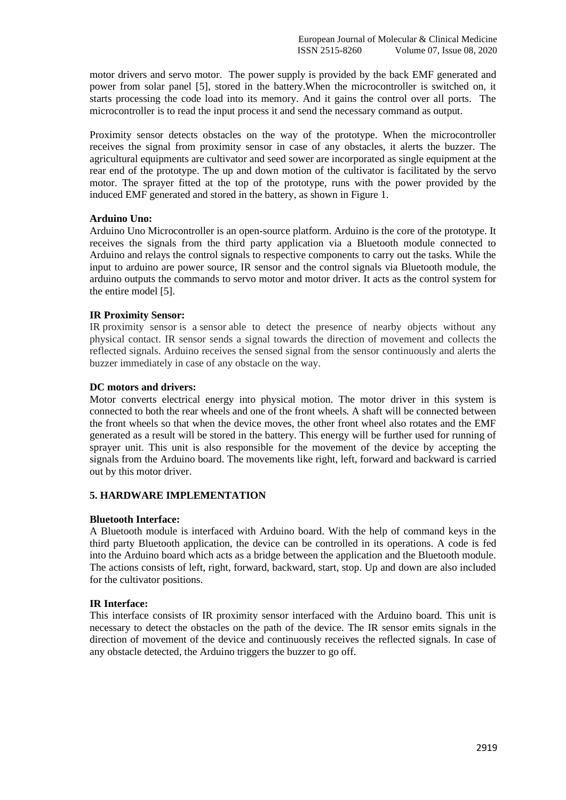motor drivers and servo motor. The power supply is provided by the back EMF generated and power from solar panel [5], stored in the battery.When the microcontroller is switched on, it starts processing the code load into its memory. And it gains the control over all ports. The microcontroller is to read the input process it and send the necessary command as output.

Proximity sensor detects obstacles on the way of the prototype. When the microcontroller receives the signal from proximity sensor in case of any obstacles, it alerts the buzzer. The agricultural equipments are cultivator and seed sower are incorporated as single equipment at the rear end of the prototype. The up and down motion of the cultivator is facilitated by the servo motor. The sprayer fitted at the top of the prototype, runs with the power provided by the induced EMF generated and stored in the battery, as shown in Figure 1.

## **Arduino Uno:**

Arduino Uno Microcontroller is an open-source platform. Arduino is the core of the prototype. It receives the signals from the third party application via a Bluetooth module connected to Arduino and relays the control signals to respective components to carry out the tasks. While the input to arduino are power source, IR sensor and the control signals via Bluetooth module, the arduino outputs the commands to servo motor and motor driver. It acts as the control system for the entire model [5].

## **IR Proximity Sensor:**

IR proximity sensor is a sensor able to detect the presence of nearby objects without any physical contact. IR sensor sends a signal towards the direction of movement and collects the reflected signals. Arduino receives the sensed signal from the sensor continuously and alerts the buzzer immediately in case of any obstacle on the way.

## **DC motors and drivers:**

Motor converts electrical energy into physical motion. The motor driver in this system is connected to both the rear wheels and one of the front wheels. A shaft will be connected between the front wheels so that when the device moves, the other front wheel also rotates and the EMF generated as a result will be stored in the battery. This energy will be further used for running of sprayer unit. This unit is also responsible for the movement of the device by accepting the signals from the Arduino board. The movements like right, left, forward and backward is carried out by this motor driver.

# **5. HARDWARE IMPLEMENTATION**

## **Bluetooth Interface:**

A Bluetooth module is interfaced with Arduino board. With the help of command keys in the third party Bluetooth application, the device can be controlled in its operations. A code is fed into the Arduino board which acts as a bridge between the application and the Bluetooth module. The actions consists of left, right, forward, backward, start, stop. Up and down are also included for the cultivator positions.

## **IR Interface:**

This interface consists of IR proximity sensor interfaced with the Arduino board. This unit is necessary to detect the obstacles on the path of the device. The IR sensor emits signals in the direction of movement of the device and continuously receives the reflected signals. In case of any obstacle detected, the Arduino triggers the buzzer to go off.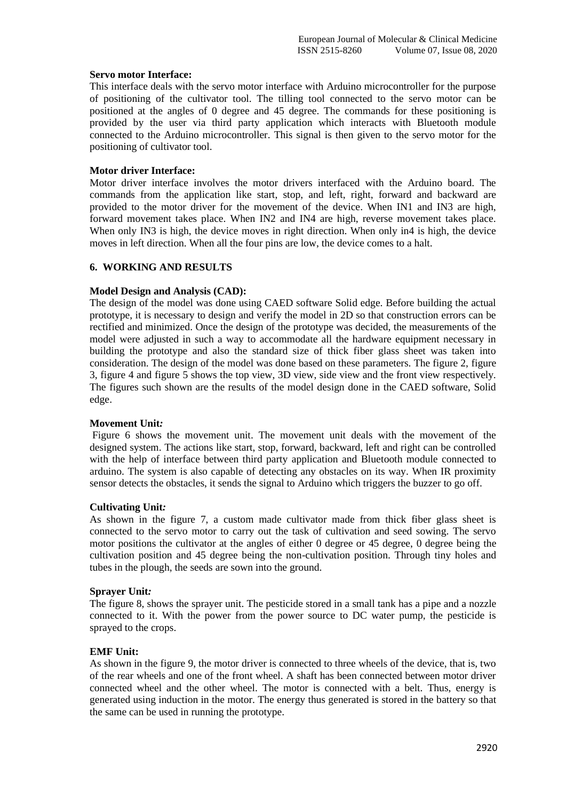#### **Servo motor Interface:**

This interface deals with the servo motor interface with Arduino microcontroller for the purpose of positioning of the cultivator tool. The tilling tool connected to the servo motor can be positioned at the angles of 0 degree and 45 degree. The commands for these positioning is provided by the user via third party application which interacts with Bluetooth module connected to the Arduino microcontroller. This signal is then given to the servo motor for the positioning of cultivator tool.

#### **Motor driver Interface:**

Motor driver interface involves the motor drivers interfaced with the Arduino board. The commands from the application like start, stop, and left, right, forward and backward are provided to the motor driver for the movement of the device. When IN1 and IN3 are high, forward movement takes place. When IN2 and IN4 are high, reverse movement takes place. When only IN3 is high, the device moves in right direction. When only in4 is high, the device moves in left direction. When all the four pins are low, the device comes to a halt.

## **6. WORKING AND RESULTS**

#### **Model Design and Analysis (CAD):**

The design of the model was done using CAED software Solid edge. Before building the actual prototype, it is necessary to design and verify the model in 2D so that construction errors can be rectified and minimized. Once the design of the prototype was decided, the measurements of the model were adjusted in such a way to accommodate all the hardware equipment necessary in building the prototype and also the standard size of thick fiber glass sheet was taken into consideration. The design of the model was done based on these parameters. The figure 2, figure 3, figure 4 and figure 5 shows the top view, 3D view, side view and the front view respectively. The figures such shown are the results of the model design done in the CAED software, Solid edge.

#### **Movement Unit***:*

Figure 6 shows the movement unit. The movement unit deals with the movement of the designed system. The actions like start, stop, forward, backward, left and right can be controlled with the help of interface between third party application and Bluetooth module connected to arduino. The system is also capable of detecting any obstacles on its way. When IR proximity sensor detects the obstacles, it sends the signal to Arduino which triggers the buzzer to go off.

#### **Cultivating Unit***:*

As shown in the figure 7, a custom made cultivator made from thick fiber glass sheet is connected to the servo motor to carry out the task of cultivation and seed sowing. The servo motor positions the cultivator at the angles of either 0 degree or 45 degree, 0 degree being the cultivation position and 45 degree being the non-cultivation position. Through tiny holes and tubes in the plough, the seeds are sown into the ground.

#### **Sprayer Unit***:*

The figure 8, shows the sprayer unit. The pesticide stored in a small tank has a pipe and a nozzle connected to it. With the power from the power source to DC water pump, the pesticide is sprayed to the crops.

#### **EMF Unit:**

As shown in the figure 9, the motor driver is connected to three wheels of the device, that is, two of the rear wheels and one of the front wheel. A shaft has been connected between motor driver connected wheel and the other wheel. The motor is connected with a belt. Thus, energy is generated using induction in the motor. The energy thus generated is stored in the battery so that the same can be used in running the prototype.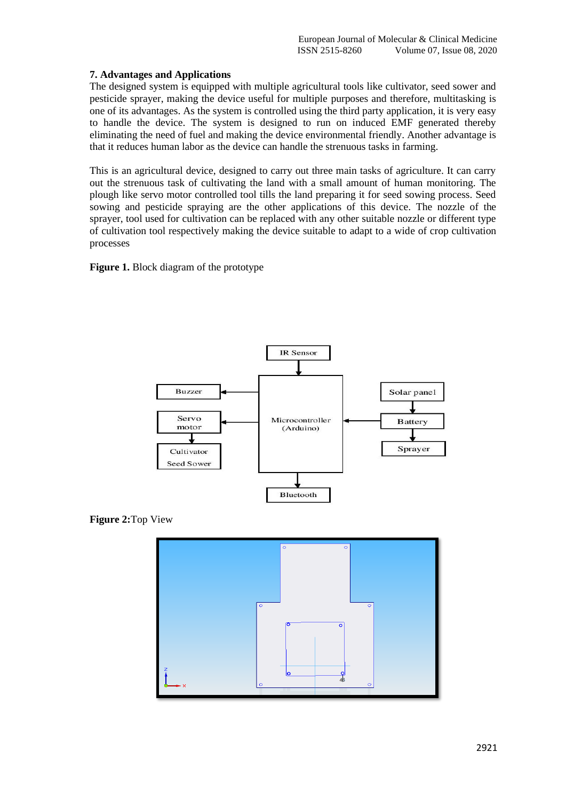# **7. Advantages and Applications**

The designed system is equipped with multiple agricultural tools like cultivator, seed sower and pesticide sprayer, making the device useful for multiple purposes and therefore, multitasking is one of its advantages. As the system is controlled using the third party application, it is very easy to handle the device. The system is designed to run on induced EMF generated thereby eliminating the need of fuel and making the device environmental friendly. Another advantage is that it reduces human labor as the device can handle the strenuous tasks in farming.

This is an agricultural device, designed to carry out three main tasks of agriculture. It can carry out the strenuous task of cultivating the land with a small amount of human monitoring. The plough like servo motor controlled tool tills the land preparing it for seed sowing process. Seed sowing and pesticide spraying are the other applications of this device. The nozzle of the sprayer, tool used for cultivation can be replaced with any other suitable nozzle or different type of cultivation tool respectively making the device suitable to adapt to a wide of crop cultivation processes

**Figure 1.** Block diagram of the prototype



**Figure 2:**Top View

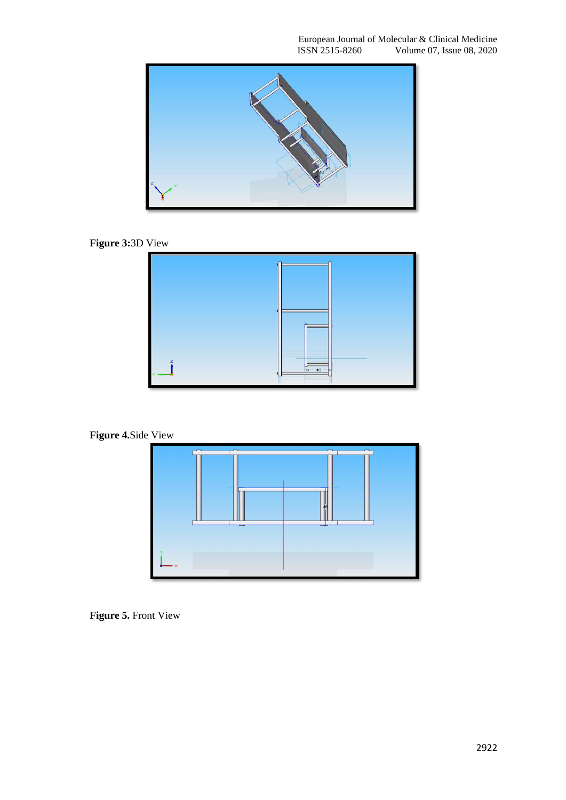

**Figure 3:**3D View



**Figure 4.**Side View



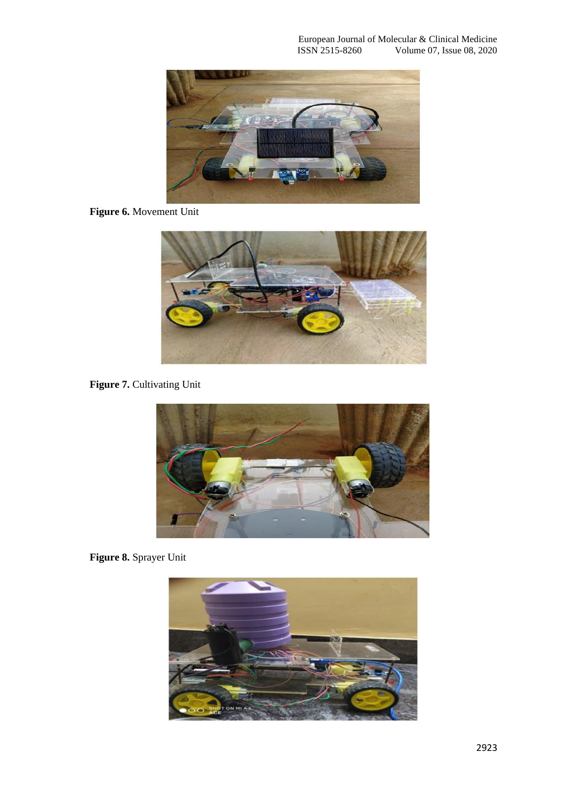

**Figure 6.** Movement Unit



**Figure 7. Cultivating Unit** 



**Figure 8.** Sprayer Unit